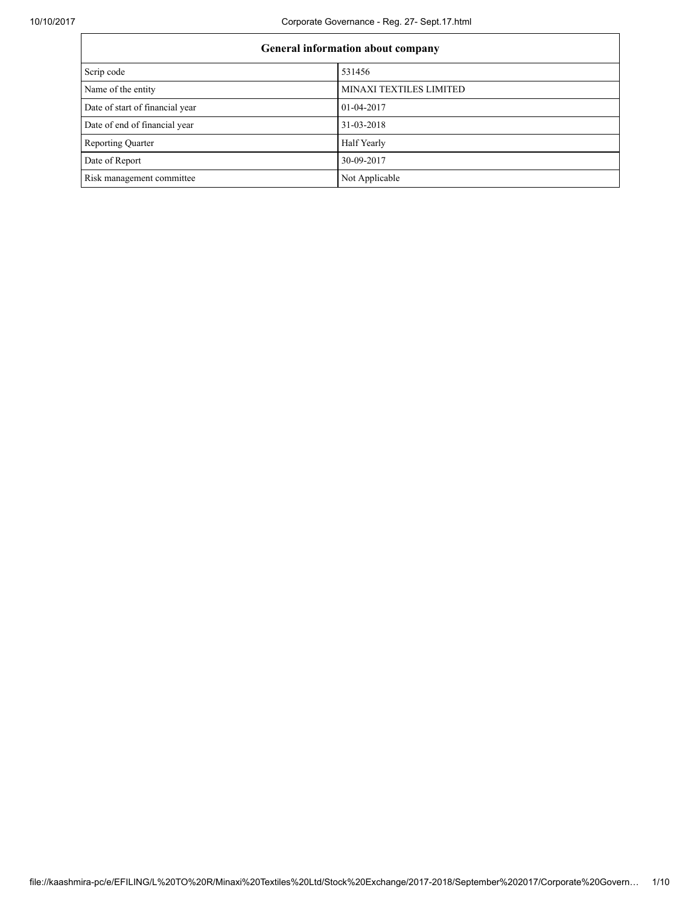| <b>General information about company</b> |                         |  |
|------------------------------------------|-------------------------|--|
| Scrip code                               | 531456                  |  |
| Name of the entity                       | MINAXI TEXTILES LIMITED |  |
| Date of start of financial year          | 01-04-2017              |  |
| Date of end of financial year            | 31-03-2018              |  |
| <b>Reporting Quarter</b>                 | Half Yearly             |  |
| Date of Report                           | 30-09-2017              |  |
| Risk management committee                | Not Applicable          |  |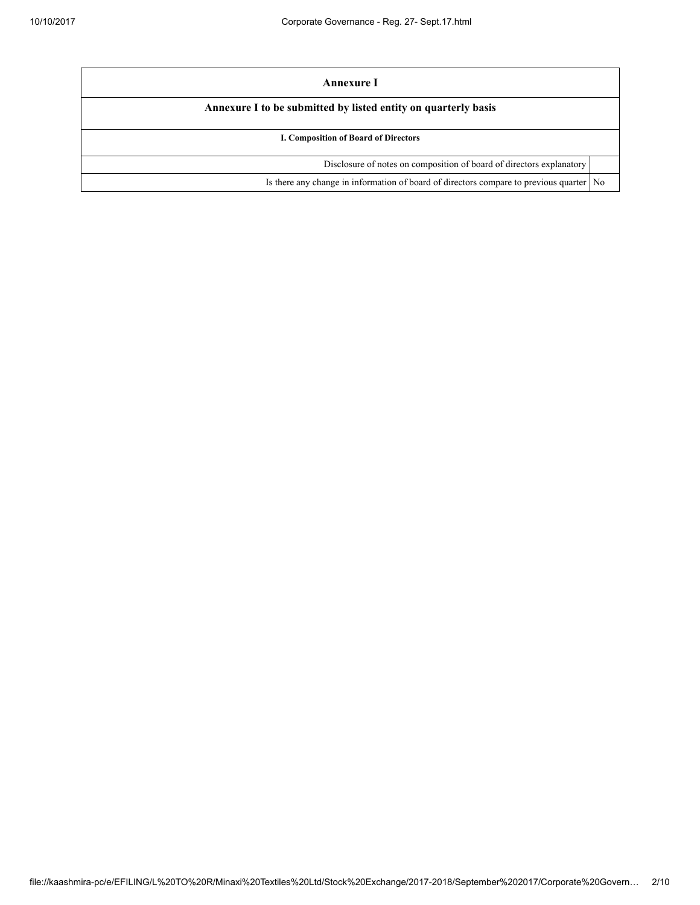| Annexure I                                                                           |                |  |
|--------------------------------------------------------------------------------------|----------------|--|
| Annexure I to be submitted by listed entity on quarterly basis                       |                |  |
| I. Composition of Board of Directors                                                 |                |  |
| Disclosure of notes on composition of board of directors explanatory                 |                |  |
| Is there any change in information of board of directors compare to previous quarter | N <sub>0</sub> |  |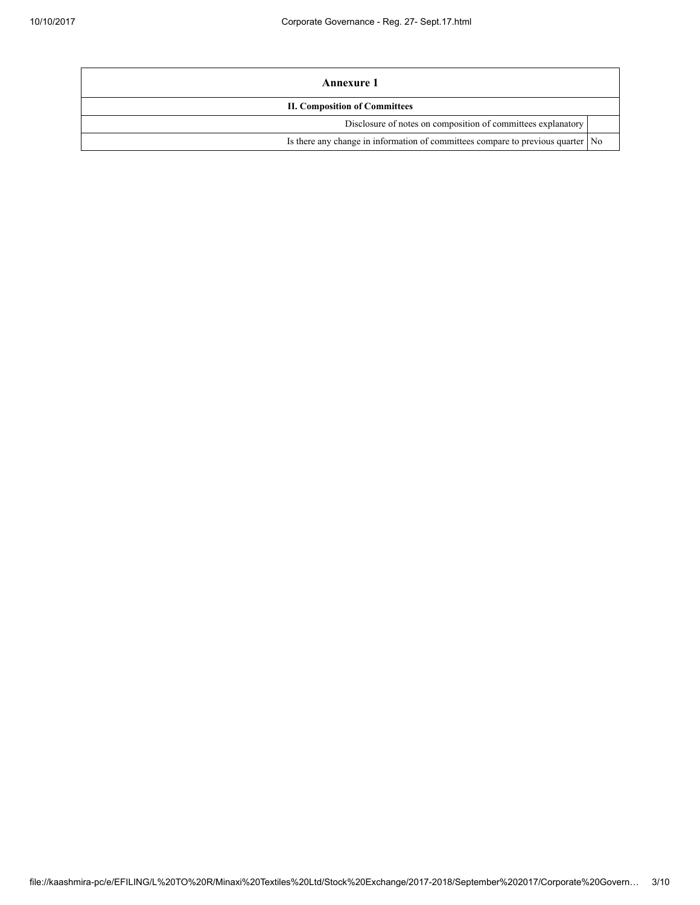| Annexure 1                                                                        |  |  |
|-----------------------------------------------------------------------------------|--|--|
| <b>II. Composition of Committees</b>                                              |  |  |
| Disclosure of notes on composition of committees explanatory                      |  |  |
| Is there any change in information of committees compare to previous quarter   No |  |  |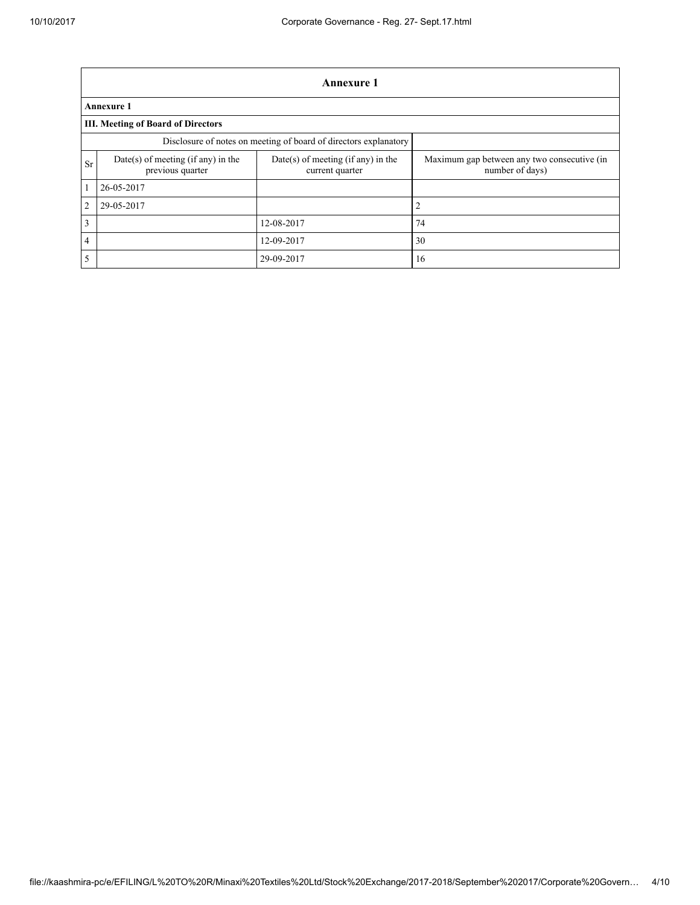|                                                                                                                                            | Annexure 1                                                       |                                             |                |  |  |  |
|--------------------------------------------------------------------------------------------------------------------------------------------|------------------------------------------------------------------|---------------------------------------------|----------------|--|--|--|
|                                                                                                                                            | <b>Annexure 1</b>                                                |                                             |                |  |  |  |
|                                                                                                                                            | <b>III. Meeting of Board of Directors</b>                        |                                             |                |  |  |  |
|                                                                                                                                            | Disclosure of notes on meeting of board of directors explanatory |                                             |                |  |  |  |
| Date(s) of meeting (if any) in the<br>$Date(s)$ of meeting (if any) in the<br>Sr<br>previous quarter<br>number of days)<br>current quarter |                                                                  | Maximum gap between any two consecutive (in |                |  |  |  |
| 1                                                                                                                                          | 26-05-2017                                                       |                                             |                |  |  |  |
| 2                                                                                                                                          | 29-05-2017                                                       |                                             | $\overline{2}$ |  |  |  |
| 3                                                                                                                                          |                                                                  | 12-08-2017                                  | 74             |  |  |  |
| $\overline{4}$                                                                                                                             |                                                                  | 12-09-2017                                  | 30             |  |  |  |
| 5                                                                                                                                          |                                                                  | 29-09-2017                                  | 16             |  |  |  |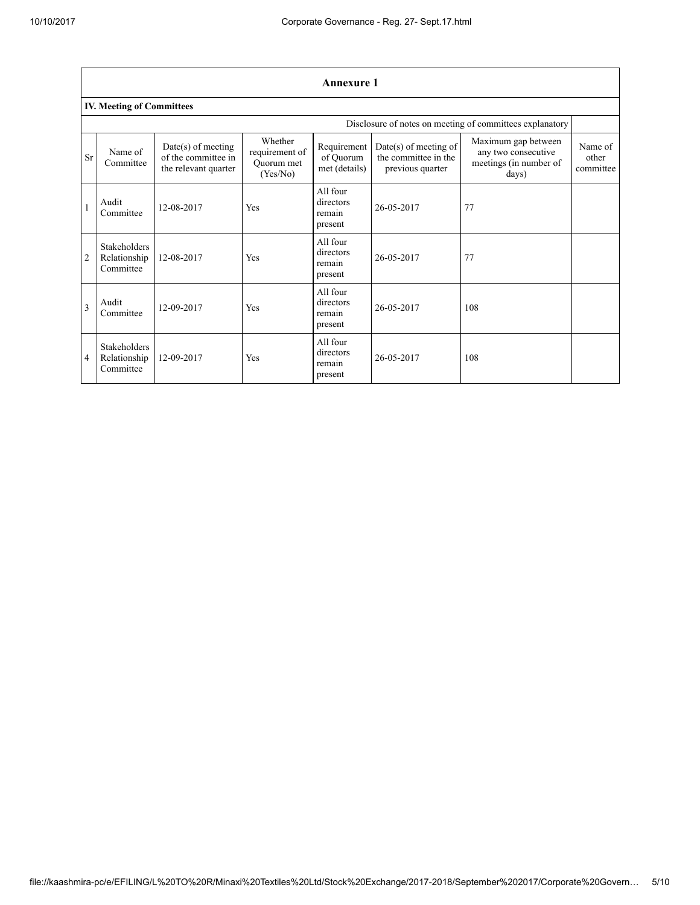|                | <b>Annexure 1</b>                                |                                                                     |                                                     |                                            |                                                                     |                                                                               |                               |
|----------------|--------------------------------------------------|---------------------------------------------------------------------|-----------------------------------------------------|--------------------------------------------|---------------------------------------------------------------------|-------------------------------------------------------------------------------|-------------------------------|
|                | <b>IV. Meeting of Committees</b>                 |                                                                     |                                                     |                                            |                                                                     |                                                                               |                               |
|                |                                                  |                                                                     |                                                     |                                            |                                                                     | Disclosure of notes on meeting of committees explanatory                      |                               |
| <b>Sr</b>      | Name of<br>Committee                             | $Date(s)$ of meeting<br>of the committee in<br>the relevant quarter | Whether<br>requirement of<br>Ouorum met<br>(Yes/No) | Requirement<br>of Quorum<br>met (details)  | $Date(s)$ of meeting of<br>the committee in the<br>previous quarter | Maximum gap between<br>any two consecutive<br>meetings (in number of<br>days) | Name of<br>other<br>committee |
| 1              | Audit<br>Committee                               | 12-08-2017                                                          | Yes                                                 | All four<br>directors<br>remain<br>present | 26-05-2017                                                          | 77                                                                            |                               |
| $\overline{2}$ | <b>Stakeholders</b><br>Relationship<br>Committee | 12-08-2017                                                          | Yes                                                 | All four<br>directors<br>remain<br>present | 26-05-2017                                                          | 77                                                                            |                               |
| $\mathbf{3}$   | Audit<br>Committee                               | 12-09-2017                                                          | Yes                                                 | All four<br>directors<br>remain<br>present | 26-05-2017                                                          | 108                                                                           |                               |
| 4              | <b>Stakeholders</b><br>Relationship<br>Committee | 12-09-2017                                                          | Yes                                                 | All four<br>directors<br>remain<br>present | 26-05-2017                                                          | 108                                                                           |                               |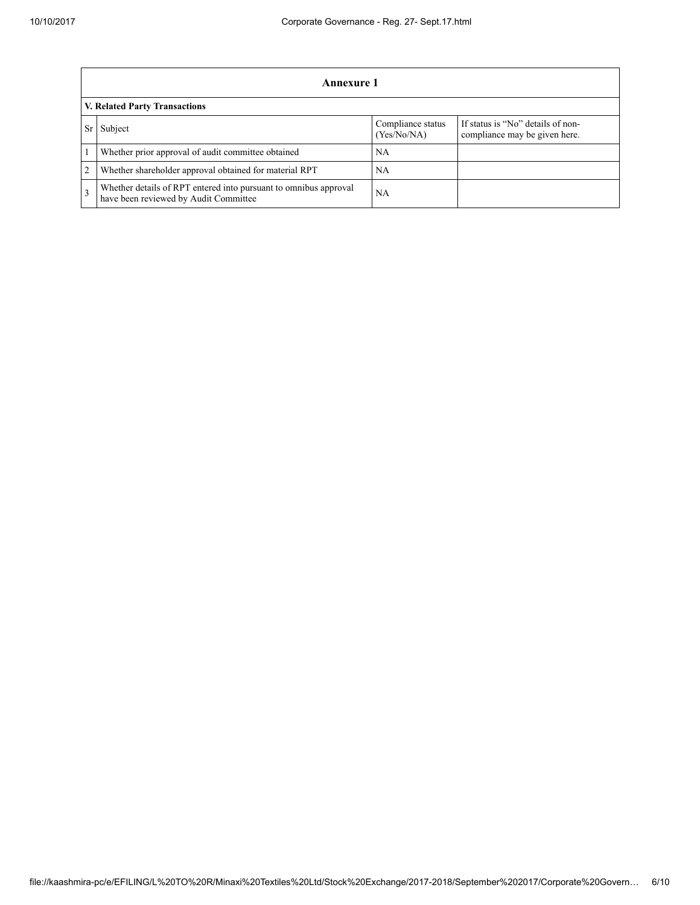|                | Annexure 1                                                                                                |                                  |                                                                    |  |  |
|----------------|-----------------------------------------------------------------------------------------------------------|----------------------------------|--------------------------------------------------------------------|--|--|
|                | <b>V. Related Party Transactions</b>                                                                      |                                  |                                                                    |  |  |
|                | Subject                                                                                                   | Compliance status<br>(Yes/No/NA) | If status is "No" details of non-<br>compliance may be given here. |  |  |
|                | Whether prior approval of audit committee obtained                                                        | NA                               |                                                                    |  |  |
| $\overline{c}$ | Whether shareholder approval obtained for material RPT                                                    | NA                               |                                                                    |  |  |
|                | Whether details of RPT entered into pursuant to omnibus approval<br>have been reviewed by Audit Committee | NA                               |                                                                    |  |  |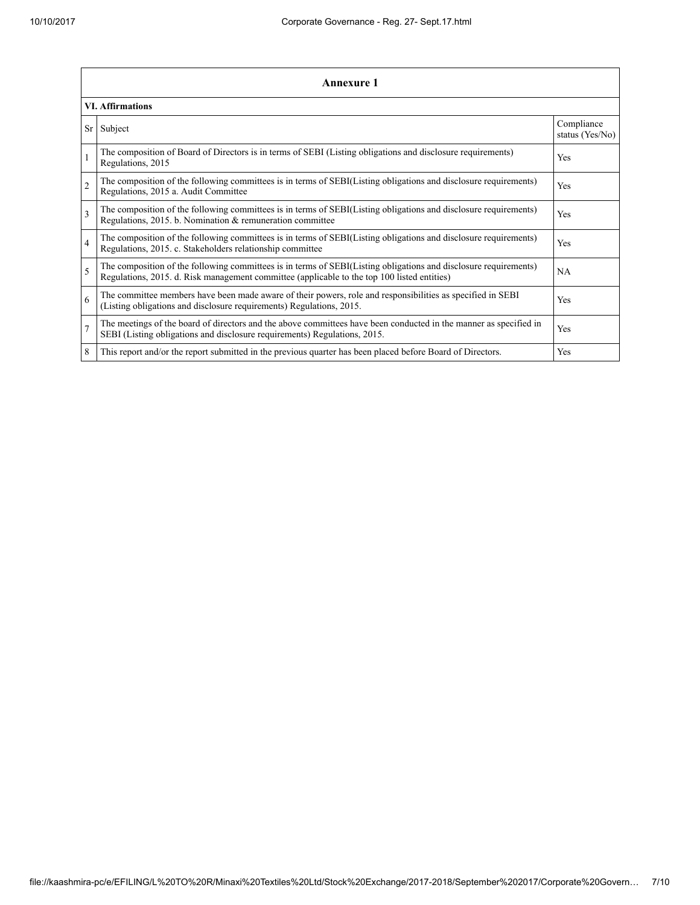|                | <b>Annexure 1</b>                                                                                                                                                                                               |                               |  |  |
|----------------|-----------------------------------------------------------------------------------------------------------------------------------------------------------------------------------------------------------------|-------------------------------|--|--|
|                | <b>VI. Affirmations</b>                                                                                                                                                                                         |                               |  |  |
| Sr             | Subject                                                                                                                                                                                                         | Compliance<br>status (Yes/No) |  |  |
|                | The composition of Board of Directors is in terms of SEBI (Listing obligations and disclosure requirements)<br>Regulations, 2015                                                                                | Yes                           |  |  |
| $\overline{2}$ | The composition of the following committees is in terms of SEBI(Listing obligations and disclosure requirements)<br>Regulations, 2015 a. Audit Committee                                                        | Yes                           |  |  |
| 3              | The composition of the following committees is in terms of SEBI(Listing obligations and disclosure requirements)<br>Regulations, 2015. b. Nomination & remuneration committee                                   | <b>Yes</b>                    |  |  |
| $\overline{4}$ | The composition of the following committees is in terms of SEBI(Listing obligations and disclosure requirements)<br>Regulations, 2015. c. Stakeholders relationship committee                                   | Yes                           |  |  |
| 5              | The composition of the following committees is in terms of SEBI(Listing obligations and disclosure requirements)<br>Regulations, 2015. d. Risk management committee (applicable to the top 100 listed entities) | <b>NA</b>                     |  |  |
| 6              | The committee members have been made aware of their powers, role and responsibilities as specified in SEBI<br>(Listing obligations and disclosure requirements) Regulations, 2015.                              | Yes                           |  |  |
| $\overline{7}$ | The meetings of the board of directors and the above committees have been conducted in the manner as specified in<br>SEBI (Listing obligations and disclosure requirements) Regulations, 2015.                  | Yes                           |  |  |
| 8              | This report and/or the report submitted in the previous quarter has been placed before Board of Directors.                                                                                                      | Yes                           |  |  |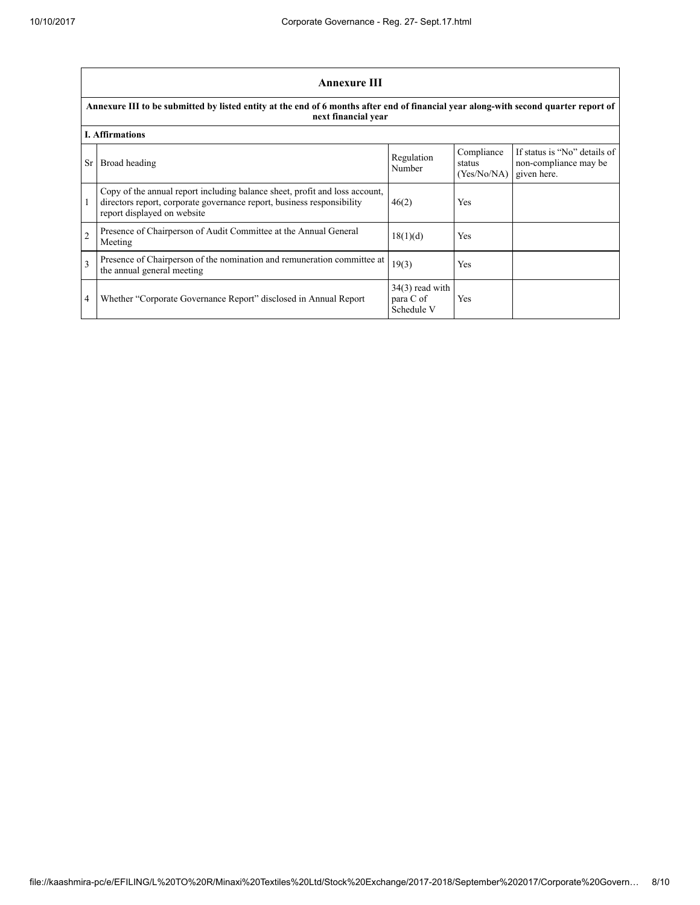|                | <b>Annexure III</b>                                                                                                                                                                  |                                              |                                                   |                                                       |  |
|----------------|--------------------------------------------------------------------------------------------------------------------------------------------------------------------------------------|----------------------------------------------|---------------------------------------------------|-------------------------------------------------------|--|
|                | Annexure III to be submitted by listed entity at the end of 6 months after end of financial year along-with second quarter report of<br>next financial year                          |                                              |                                                   |                                                       |  |
|                | <b>I. Affirmations</b>                                                                                                                                                               |                                              |                                                   |                                                       |  |
| Sr.            | Broad heading                                                                                                                                                                        | Regulation<br>Number                         | Compliance<br>status<br>$(Yes/No/NA)$ given here. | If status is "No" details of<br>non-compliance may be |  |
|                | Copy of the annual report including balance sheet, profit and loss account,<br>directors report, corporate governance report, business responsibility<br>report displayed on website | 46(2)                                        | Yes                                               |                                                       |  |
| $\overline{2}$ | Presence of Chairperson of Audit Committee at the Annual General<br>Meeting                                                                                                          | 18(1)(d)                                     | Yes                                               |                                                       |  |
| 3              | Presence of Chairperson of the nomination and remuneration committee at<br>the annual general meeting                                                                                | 19(3)                                        | Yes                                               |                                                       |  |
| 4              | Whether "Corporate Governance Report" disclosed in Annual Report                                                                                                                     | $34(3)$ read with<br>para C of<br>Schedule V | Yes                                               |                                                       |  |